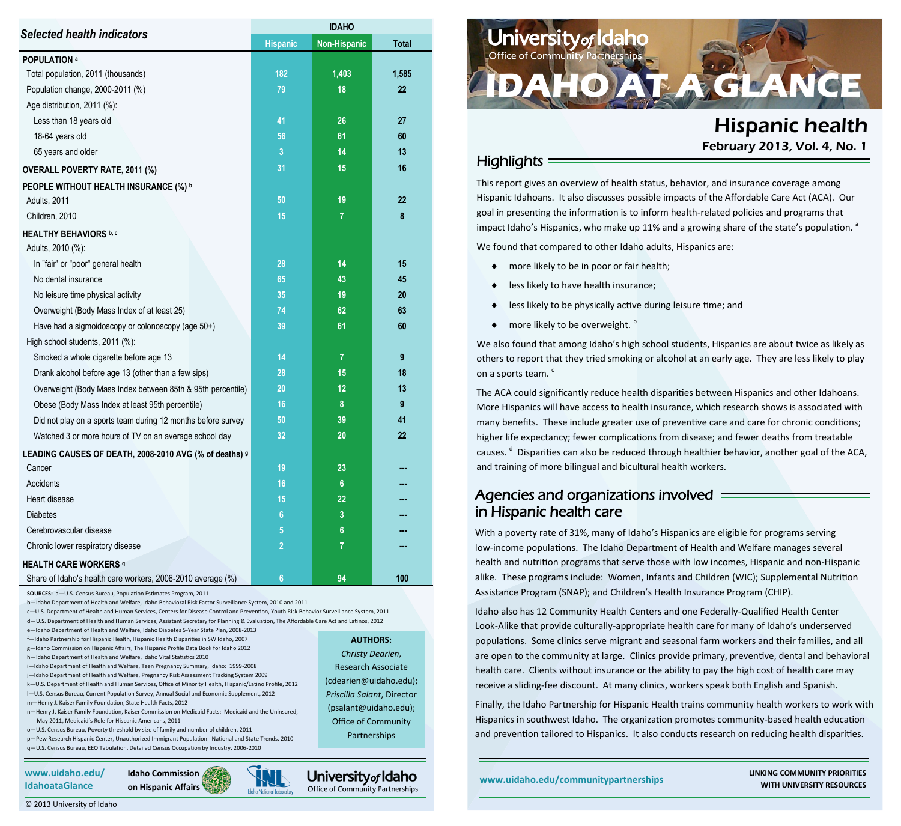| <b>Selected health indicators</b>                            | <b>Hispanic</b> | Non-Hispanic   | <b>Total</b>     |  |
|--------------------------------------------------------------|-----------------|----------------|------------------|--|
| <b>POPULATION a</b>                                          |                 |                |                  |  |
| Total population, 2011 (thousands)                           | 182             | 1,403          | 1,585            |  |
| Population change, 2000-2011 (%)                             | 79              | 18             | 22               |  |
| Age distribution, 2011 (%):                                  |                 |                |                  |  |
| Less than 18 years old                                       | 41              | 26             | 27               |  |
| 18-64 years old                                              | 56              | 61             | 60               |  |
| 65 years and older                                           | 3               | 14             | 13               |  |
| <b>OVERALL POVERTY RATE, 2011 (%)</b>                        | 31              | 15             | 16               |  |
| PEOPLE WITHOUT HEALTH INSURANCE (%) b                        |                 |                |                  |  |
| Adults, 2011                                                 | 50              | 19             | 22               |  |
| Children, 2010                                               | 15              | $\overline{7}$ | 8                |  |
| <b>HEALTHY BEHAVIORS b, c</b>                                |                 |                |                  |  |
| Adults, 2010 (%):                                            |                 |                |                  |  |
| In "fair" or "poor" general health                           | 28              | 14             | 15               |  |
| No dental insurance                                          | 65              | 43             | 45               |  |
| No leisure time physical activity                            | 35              | 19             | 20               |  |
| Overweight (Body Mass Index of at least 25)                  | 74              | 62             | 63               |  |
| Have had a sigmoidoscopy or colonoscopy (age 50+)            | 39              | 61             | 60               |  |
| High school students, 2011 (%):                              |                 |                |                  |  |
| Smoked a whole cigarette before age 13                       | 14              | $\overline{7}$ | $\boldsymbol{9}$ |  |
| Drank alcohol before age 13 (other than a few sips)          | 28              | 15             | 18               |  |
| Overweight (Body Mass Index between 85th & 95th percentile)  | 20              | 12             | 13               |  |
| Obese (Body Mass Index at least 95th percentile)             | 16              | 8              | $\boldsymbol{9}$ |  |
| Did not play on a sports team during 12 months before survey | 50              | 39             | 41               |  |
| Watched 3 or more hours of TV on an average school day       | 32              | 20             | 22               |  |
| LEADING CAUSES OF DEATH, 2008-2010 AVG (% of deaths) 9       |                 |                |                  |  |
| Cancer                                                       | 19              | 23             |                  |  |
| Accidents                                                    | 16              | 6 <sup>°</sup> |                  |  |
| Heart disease                                                | 15              | 22             |                  |  |
| <b>Diabetes</b>                                              | $6\phantom{a}$  | 3              |                  |  |
| Cerebrovascular disease                                      | 5               | 6              |                  |  |
| Chronic lower respiratory disease                            | $\overline{2}$  | 7              |                  |  |
| <b>HEALTH CARE WORKERS 9</b>                                 |                 |                |                  |  |
| Share of Idaho's health care workers, 2006-2010 average (%)  | $6\phantom{.}6$ | 94             | 100              |  |

**SOURCES:** a—U.S. Census Bureau, Population Estimates Program, 2011

b—Idaho Department of Health and Welfare, Idaho Behavioral Risk Factor Surveillance System, 2010 and 2011

c—U.S. Department of Health and Human Services, Centers for Disease Control and Prevention, Youth Risk Behavior Surveillance System, 2011 d—U.S. Department of Health and Human Services, Assistant Secretary for Planning & Evaluation, The Affordable Care Act and Latinos, 2012

e—Idaho Department of Health and Welfare, Idaho Diabetes 5-Year State Plan, 2008-2013 f—Idaho Partnership for Hispanic Health, Hispanic Health Disparities in SW Idaho, 2007 g—Idaho Commission on Hispanic Affairs, The Hispanic Profile Data Book for Idaho 2012 h—Idaho Department of Health and Welfare, Idaho Vital Statistics 2010 i—Idaho Department of Health and Welfare, Teen Pregnancy Summary, Idaho: 1999-2008 j—Idaho Department of Health and Welfare, Pregnancy Risk Assessment Tracking System 2009 k—U.S. Department of Health and Human Services, Office of Minority Health, Hispanic/Latino Profile, 2012 l—U.S. Census Bureau, Current Population Survey, Annual Social and Economic Supplement, 2012

m—Henry J. Kaiser Family Foundation, State Health Facts, 2012 n—Henry J. Kaiser Family Foundation, Kaiser Commission on Medicaid Facts: Medicaid and the Uninsured, May 2011, Medicaid's Role for Hispanic Americans, 2011

o—U.S. Census Bureau, Poverty threshold by size of family and number of children, 2011 p—Pew Research Hispanic Center, Unauthorized Immigrant Population: National and State Trends, 2010 q—U.S. Census Bureau, EEO Tabulation, Detailed Census Occupation by Industry, 2006-2010

**www.uidaho.edu/ IdahoataGlance**



*Christy Dearien,* Research Associate (cdearien@uidaho.edu); *Priscilla Salant*, Director (psalant@uidaho.edu); Office of Community Partnerships

University<sub>of</sub> Idaho Office of Community Partnerships

**AUTHORS:** 



# Hispanic health February 2013, Vol. 4, No. 1

#### **Highlights**

This report gives an overview of health status, behavior, and insurance coverage among Hispanic Idahoans. It also discusses possible impacts of the Affordable Care Act (ACA). Our goal in presenting the information is to inform health-related policies and programs that impact Idaho's Hispanics, who make up 11% and a growing share of the state's population.  $a^2$ 

We found that compared to other Idaho adults, Hispanics are:

- ◆ more likely to be in poor or fair health;
- ◆ less likely to have health insurance;
- $\bullet$  less likely to be physically active during leisure time; and
- $\bullet$  more likely to be overweight.  $\circ$

We also found that among Idaho's high school students, Hispanics are about twice as likely as others to report that they tried smoking or alcohol at an early age. They are less likely to play on a sports team.<sup>c</sup>

The ACA could significantly reduce health disparities between Hispanics and other Idahoans. More Hispanics will have access to health insurance, which research shows is associated with many benefits. These include greater use of preventive care and care for chronic conditions; higher life expectancy; fewer complications from disease; and fewer deaths from treatable causes.<sup>d</sup> Disparities can also be reduced through healthier behavior, another goal of the ACA, and training of more bilingual and bicultural health workers.

## Agencies and organizations involved in Hispanic health care

With a poverty rate of 31%, many of Idaho's Hispanics are eligible for programs serving low-income populations. The Idaho Department of Health and Welfare manages several health and nutrition programs that serve those with low incomes, Hispanic and non-Hispanic alike. These programs include: Women, Infants and Children (WIC); Supplemental Nutrition Assistance Program (SNAP); and Children's Health Insurance Program (CHIP).

Idaho also has 12 Community Health Centers and one Federally-Qualified Health Center Look-Alike that provide culturally-appropriate health care for many of Idaho's underserved populations. Some clinics serve migrant and seasonal farm workers and their families, and all are open to the community at large. Clinics provide primary, preventive, dental and behavioral health care. Clients without insurance or the ability to pay the high cost of health care may receive a sliding-fee discount. At many clinics, workers speak both English and Spanish.

Finally, the Idaho Partnership for Hispanic Health trains community health workers to work with Hispanics in southwest Idaho. The organization promotes community-based health education and prevention tailored to Hispanics. It also conducts research on reducing health disparities.

**www.uidaho.edu/communitypartnerships LINKING COMMUNITY PRIORITIES WITH UNIVERSITY RESOURCES**

© 2013 University of Idaho